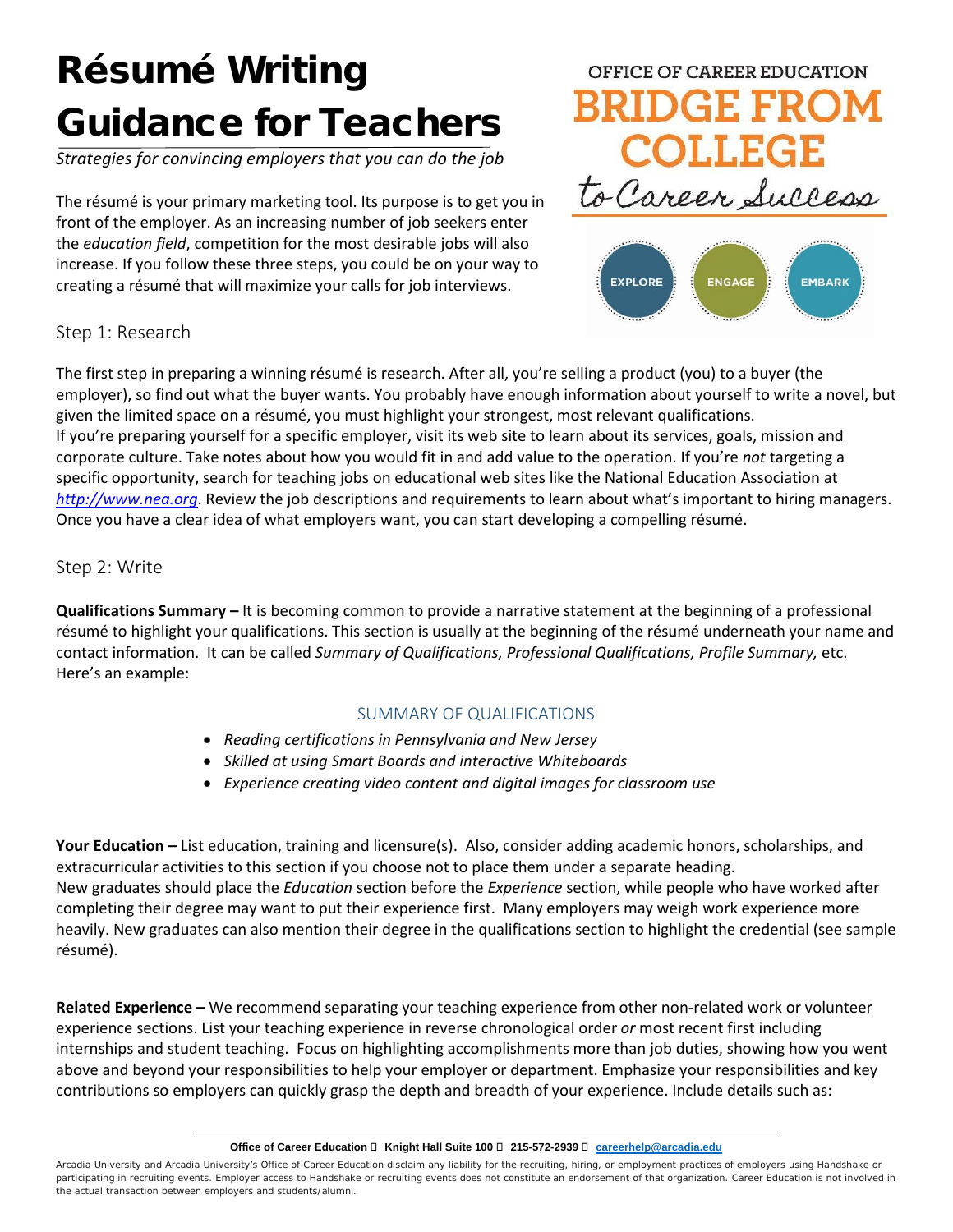## Résumé Writing Guidance for Teachers

*Strategies for convincing employers that you can do the job*

The résumé is your primary marketing tool. Its purpose is to get you in front of the employer. As an increasing number of job seekers enter the *education field*, competition for the most desirable jobs will also increase. If you follow these three steps, you could be on your way to creating a résumé that will maximize your calls for job interviews.





#### Step 1: Research

The first step in preparing a winning résumé is research. After all, you're selling a product (you) to a buyer (the employer), so find out what the buyer wants. You probably have enough information about yourself to write a novel, but given the limited space on a résumé, you must highlight your strongest, most relevant qualifications. If you're preparing yourself for a specific employer, visit its web site to learn about its services, goals, mission and corporate culture. Take notes about how you would fit in and add value to the operation. If you're *not* targeting a specific opportunity, search for teaching jobs on educational web sites like the National Education Association at *[http://www.nea.org](http://www.nea.org/)*. Review the job descriptions and requirements to learn about what's important to hiring managers. Once you have a clear idea of what employers want, you can start developing a compelling résumé.

#### Step 2: Write

**Qualifications Summary –** It is becoming common to provide a narrative statement at the beginning of a professional résumé to highlight your qualifications. This section is usually at the beginning of the résumé underneath your name and contact information. It can be called *Summary of Qualifications, Professional Qualifications, Profile Summary,* etc. Here's an example:

#### SUMMARY OF QUALIFICATIONS

- *Reading certifications in Pennsylvania and New Jersey*
- *Skilled at using Smart Boards and interactive Whiteboards*
- *Experience creating video content and digital images for classroom use*

**Your Education –** List education, training and licensure(s). Also, consider adding academic honors, scholarships, and extracurricular activities to this section if you choose not to place them under a separate heading. New graduates should place the *Education* section before the *Experience* section, while people who have worked after completing their degree may want to put their experience first. Many employers may weigh work experience more heavily. New graduates can also mention their degree in the qualifications section to highlight the credential (see sample résumé).

**Related Experience –** We recommend separating your teaching experience from other non-related work or volunteer experience sections. List your teaching experience in reverse chronological order *or* most recent first including internships and student teaching. Focus on highlighting accomplishments more than job duties, showing how you went above and beyond your responsibilities to help your employer or department. Emphasize your responsibilities and key contributions so employers can quickly grasp the depth and breadth of your experience. Include details such as:

#### **Office of Career Education □ Knight Hall Suite 100 □ 215-572-2939 □ [careerhelp@arcadia.edu](mailto:careerhelp@arcadia.edu)**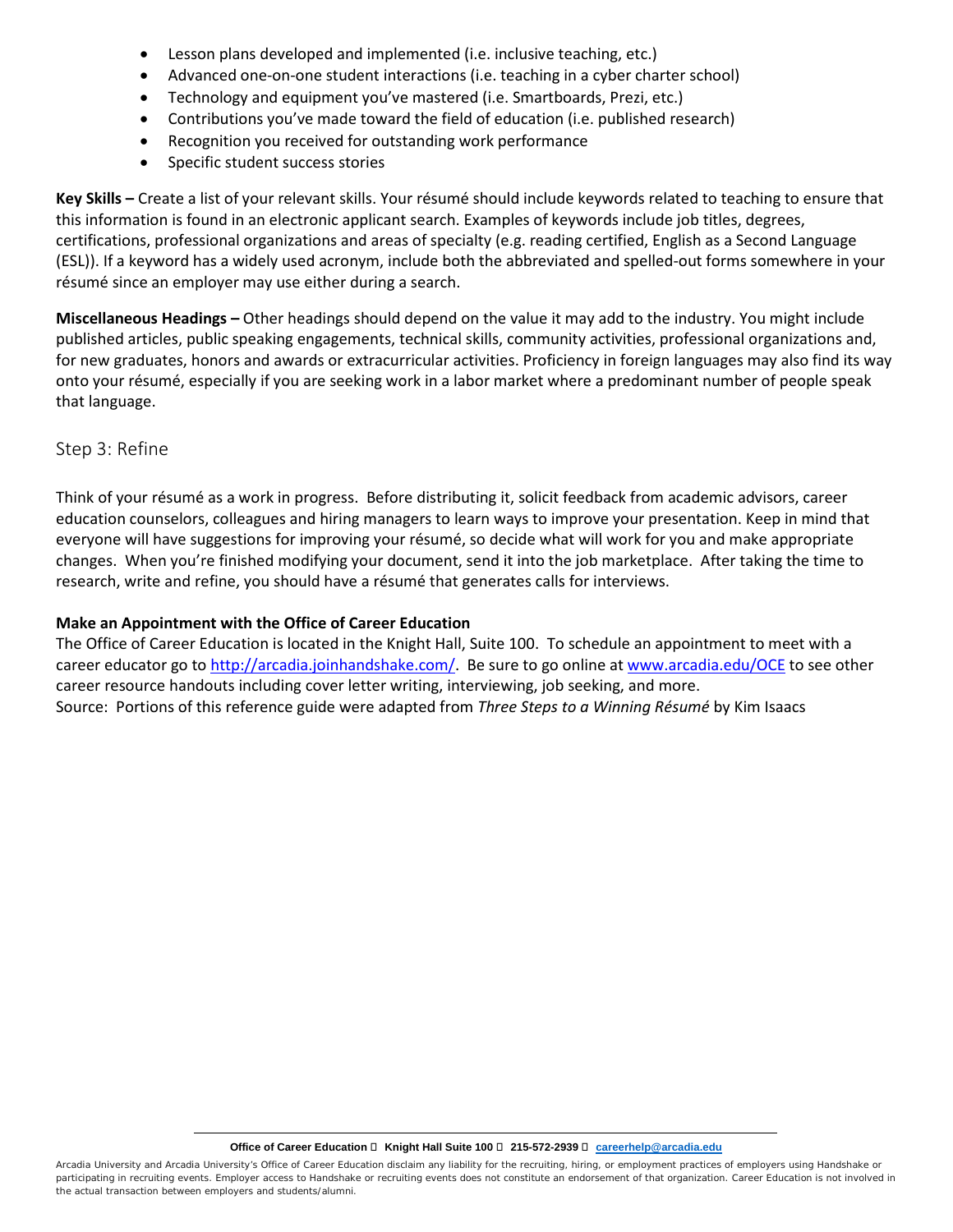- Lesson plans developed and implemented (i.e. inclusive teaching, etc.)
- Advanced one-on-one student interactions (i.e. teaching in a cyber charter school)
- Technology and equipment you've mastered (i.e. Smartboards, Prezi, etc.)
- Contributions you've made toward the field of education (i.e. published research)
- Recognition you received for outstanding work performance
- Specific student success stories

**Key Skills –** Create a list of your relevant skills. Your résumé should include keywords related to teaching to ensure that this information is found in an electronic applicant search. Examples of keywords include job titles, degrees, certifications, professional organizations and areas of specialty (e.g. reading certified, English as a Second Language (ESL)). If a keyword has a widely used acronym, include both the abbreviated and spelled-out forms somewhere in your résumé since an employer may use either during a search.

**Miscellaneous Headings –** Other headings should depend on the value it may add to the industry. You might include published articles, public speaking engagements, technical skills, community activities, professional organizations and, for new graduates, honors and awards or extracurricular activities. Proficiency in foreign languages may also find its way onto your résumé, especially if you are seeking work in a labor market where a predominant number of people speak that language.

#### Step 3: Refine

Think of your résumé as a work in progress. Before distributing it, solicit feedback from academic advisors, career education counselors, colleagues and hiring managers to learn ways to improve your presentation. Keep in mind that everyone will have suggestions for improving your résumé, so decide what will work for you and make appropriate changes. When you're finished modifying your document, send it into the job marketplace. After taking the time to research, write and refine, you should have a résumé that generates calls for interviews.

#### **Make an Appointment with the Office of Career Education**

The Office of Career Education is located in the Knight Hall, Suite 100. To schedule an appointment to meet with a career educator go to [http://arcadia.joinhandshake.com/.](http://arcadia.joinhandshake.com/) Be sure to go online at [www.arcadia.edu/OCE](http://www.arcadia.edu/OCE) to see other career resource handouts including cover letter writing, interviewing, job seeking, and more. Source: Portions of this reference guide were adapted from *Three Steps to a Winning Résumé* by Kim Isaacs

**Office of Career Education □ Knight Hall Suite 100 □ 215-572-2939 □ [careerhelp@arcadia.edu](mailto:careerhelp@arcadia.edu)**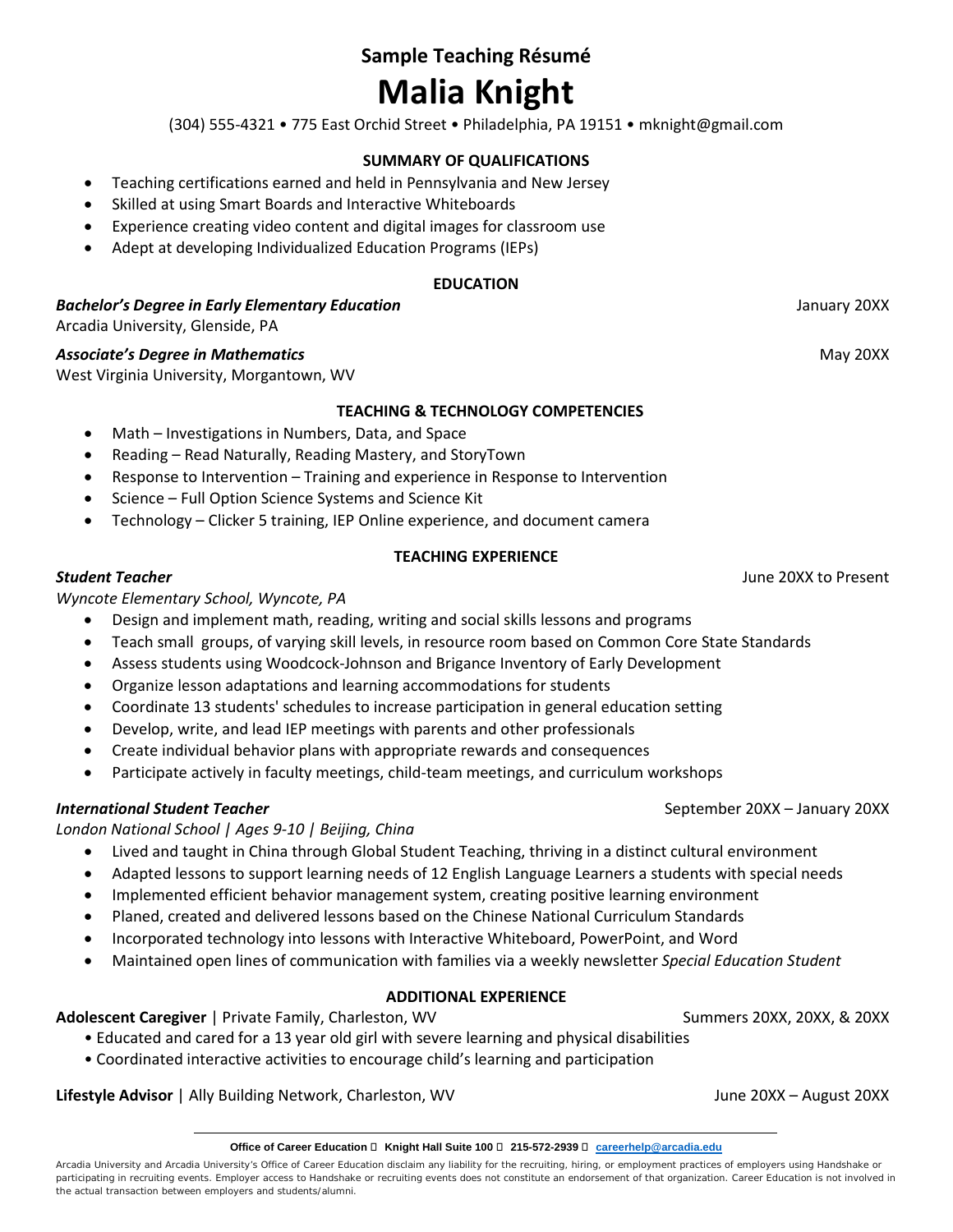# **Sample Teaching Résumé**

### **Malia Knight**

(304) 555-4321 • 775 East Orchid Street • Philadelphia, PA 19151 • mknight@gmail.com

#### **SUMMARY OF QUALIFICATIONS**

- Teaching certifications earned and held in Pennsylvania and New Jersey
- Skilled at using Smart Boards and Interactive Whiteboards
- Experience creating video content and digital images for classroom use
- Adept at developing Individualized Education Programs (IEPs)

#### **EDUCATION**

*Bachelor's Degree in Early Elementary Education* January 20XX

Arcadia University, Glenside, PA

#### **Associate's Degree in Mathematics Associate's Degree in Mathematics Associate's Degree in Mathematics Associate**

West Virginia University, Morgantown, WV

#### **TEACHING & TECHNOLOGY COMPETENCIES**

- Math Investigations in Numbers, Data, and Space
- Reading Read Naturally, Reading Mastery, and StoryTown
- Response to Intervention Training and experience in Response to Intervention
- Science Full Option Science Systems and Science Kit
- Technology Clicker 5 training, IEP Online experience, and document camera

#### **TEACHING EXPERIENCE**

#### *Student Teacher* June 20XX to Present

*Wyncote Elementary School, Wyncote, PA*

- Design and implement math, reading, writing and social skills lessons and programs
- Teach small groups, of varying skill levels, in resource room based on Common Core State Standards
- Assess students using Woodcock-Johnson and Brigance Inventory of Early Development
- Organize lesson adaptations and learning accommodations for students
- Coordinate 13 students' schedules to increase participation in general education setting
- Develop, write, and lead IEP meetings with parents and other professionals
- Create individual behavior plans with appropriate rewards and consequences
- Participate actively in faculty meetings, child-team meetings, and curriculum workshops

#### **International Student Teacher** September 20XX – January 20XX – January 20XX – January 20XX – January 20XX – January 20XX

*London National School | Ages 9-10 | Beijing, China*

- Lived and taught in China through Global Student Teaching, thriving in a distinct cultural environment
- Adapted lessons to support learning needs of 12 English Language Learners a students with special needs
- Implemented efficient behavior management system, creating positive learning environment
- Planed, created and delivered lessons based on the Chinese National Curriculum Standards
- Incorporated technology into lessons with Interactive Whiteboard, PowerPoint, and Word
- Maintained open lines of communication with families via a weekly newsletter *Special Education Student*

#### **ADDITIONAL EXPERIENCE**

**Adolescent Caregiver** | Private Family, Charleston, WV Summers 20XX, 20XX, 20XX, 20XX, 20XX, 20XX

- Educated and cared for a 13 year old girl with severe learning and physical disabilities
- Coordinated interactive activities to encourage child's learning and participation

**Lifestyle Advisor** | Ally Building Network, Charleston, WV **June 20XX** – August 20XX – August 20XX

#### **Office of Career Education □ Knight Hall Suite 100 □ 215-572-2939 □ [careerhelp@arcadia.edu](mailto:careerhelp@arcadia.edu)**